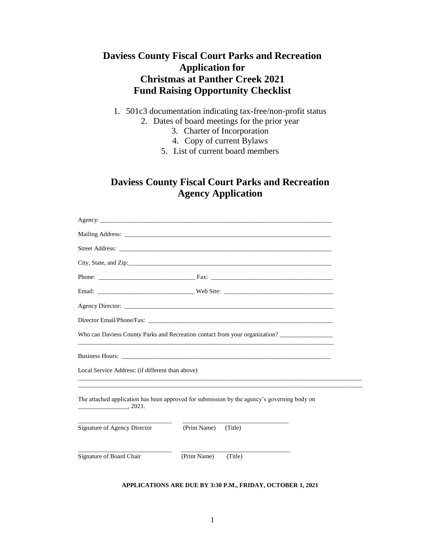## **Daviess County Fiscal Court Parks and Recreation Application for Christmas at Panther Creek 2021 Fund Raising Opportunity Checklist**

- 1. 501c3 documentation indicating tax-free/non-profit status
	- 2. Dates of board meetings for the prior year
		- 3. Charter of Incorporation
		- 4. Copy of current Bylaws
		- 5. List of current board members

## **Daviess County Fiscal Court Parks and Recreation Agency Application**

|                                                  | Who can Daviess County Parks and Recreation contact from your organization?                 |  |
|--------------------------------------------------|---------------------------------------------------------------------------------------------|--|
|                                                  |                                                                                             |  |
| Local Service Address: (if different than above) |                                                                                             |  |
| $\frac{1}{2}$ , 2021.                            | The attached application has been approved for submission by the agency's governing body on |  |
| <b>Signature of Agency Director</b>              | (Print Name)<br>(Title)                                                                     |  |
| Signature of Board Chair                         | (Print Name)<br>(Title)                                                                     |  |

## **APPLICATIONS ARE DUE BY 3:30 P.M., FRIDAY, OCTOBER 1, 2021**